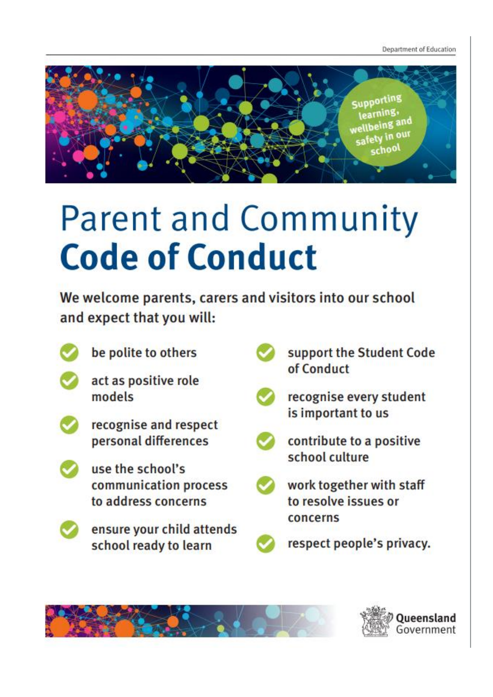Department of Education



## **Parent and Community Code of Conduct**

We welcome parents, carers and visitors into our school and expect that you will:



be polite to others





- recognise and respect personal differences
- use the school's communication process to address concerns



support the Student Code of Conduct



recognise every student is important to us



contribute to a positive school culture



work together with staff to resolve issues or concerns



## ensure your child attends school ready to learn